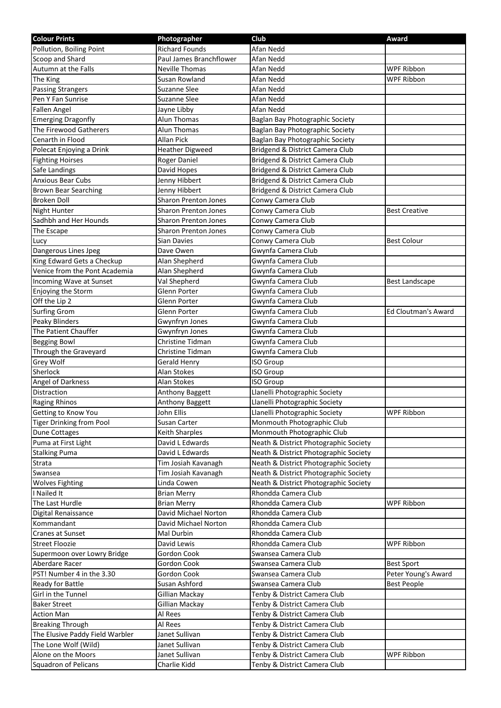| <b>Colour Prints</b>            | Photographer                | Club                                  | Award                 |
|---------------------------------|-----------------------------|---------------------------------------|-----------------------|
| Pollution, Boiling Point        | <b>Richard Founds</b>       | Afan Nedd                             |                       |
| Scoop and Shard                 | Paul James Branchflower     | Afan Nedd                             |                       |
| Autumn at the Falls             | <b>Neville Thomas</b>       | Afan Nedd                             | <b>WPF Ribbon</b>     |
| The King                        | Susan Rowland               | Afan Nedd                             | WPF Ribbon            |
| <b>Passing Strangers</b>        | Suzanne Slee                | Afan Nedd                             |                       |
| Pen Y Fan Sunrise               | Suzanne Slee                | Afan Nedd                             |                       |
| <b>Fallen Angel</b>             | Jayne Libby                 | Afan Nedd                             |                       |
| <b>Emerging Dragonfly</b>       | Alun Thomas                 | Baglan Bay Photographic Society       |                       |
| The Firewood Gatherers          | Alun Thomas                 | Baglan Bay Photographic Society       |                       |
| Cenarth in Flood                | Allan Pick                  | Baglan Bay Photographic Society       |                       |
| Polecat Enjoying a Drink        | <b>Heather Digweed</b>      | Bridgend & District Camera Club       |                       |
| <b>Fighting Hoirses</b>         | Roger Daniel                | Bridgend & District Camera Club       |                       |
| Safe Landings                   | David Hopes                 | Bridgend & District Camera Club       |                       |
| <b>Anxious Bear Cubs</b>        | Jenny Hibbert               | Bridgend & District Camera Club       |                       |
| <b>Brown Bear Searching</b>     | Jenny Hibbert               | Bridgend & District Camera Club       |                       |
| <b>Broken Doll</b>              | <b>Sharon Prenton Jones</b> | Conwy Camera Club                     |                       |
| Night Hunter                    | <b>Sharon Prenton Jones</b> | Conwy Camera Club                     | <b>Best Creative</b>  |
| Sadhbh and Her Hounds           | <b>Sharon Prenton Jones</b> | Conwy Camera Club                     |                       |
| The Escape                      | <b>Sharon Prenton Jones</b> | Conwy Camera Club                     |                       |
| Lucy                            | Sian Davies                 | Conwy Camera Club                     | <b>Best Colour</b>    |
| Dangerous Lines Jpeg            | Dave Owen                   | Gwynfa Camera Club                    |                       |
| King Edward Gets a Checkup      | Alan Shepherd               | Gwynfa Camera Club                    |                       |
| Venice from the Pont Academia   | Alan Shepherd               | Gwynfa Camera Club                    |                       |
| Incoming Wave at Sunset         | Val Shepherd                | Gwynfa Camera Club                    | <b>Best Landscape</b> |
| Enjoying the Storm              | Glenn Porter                | Gwynfa Camera Club                    |                       |
| Off the Lip 2                   | Glenn Porter                | Gwynfa Camera Club                    |                       |
| <b>Surfing Grom</b>             | Glenn Porter                | Gwynfa Camera Club                    | Ed Cloutman's Award   |
| Peaky Blinders                  | Gwynfryn Jones              | Gwynfa Camera Club                    |                       |
| The Patient Chauffer            | Gwynfryn Jones              | Gwynfa Camera Club                    |                       |
| <b>Begging Bowl</b>             | Christine Tidman            | Gwynfa Camera Club                    |                       |
| Through the Graveyard           | Christine Tidman            | Gwynfa Camera Club                    |                       |
| Grey Wolf                       | Gerald Henry                | <b>ISO Group</b>                      |                       |
| Sherlock                        | Alan Stokes                 | <b>ISO Group</b>                      |                       |
| Angel of Darkness               | Alan Stokes                 | <b>ISO Group</b>                      |                       |
| Distraction                     | Anthony Baggett             | Llanelli Photographic Society         |                       |
| <b>Raging Rhinos</b>            | <b>Anthony Baggett</b>      | Llanelli Photographic Society         |                       |
| Getting to Know You             | John Ellis                  | Llanelli Photographic Society         | <b>WPF Ribbon</b>     |
| <b>Tiger Drinking from Pool</b> | Susan Carter                | Monmouth Photographic Club            |                       |
| <b>Dune Cottages</b>            | Keith Sharples              | Monmouth Photographic Club            |                       |
| Puma at First Light             | David L Edwards             | Neath & District Photographic Society |                       |
| <b>Stalking Puma</b>            | David L Edwards             | Neath & District Photographic Society |                       |
| Strata                          | Tim Josiah Kavanagh         | Neath & District Photographic Society |                       |
| Swansea                         | Tim Josiah Kavanagh         | Neath & District Photographic Society |                       |
| <b>Wolves Fighting</b>          | Linda Cowen                 | Neath & District Photographic Society |                       |
| I Nailed It                     | <b>Brian Merry</b>          | Rhondda Camera Club                   |                       |
| The Last Hurdle                 | <b>Brian Merry</b>          | Rhondda Camera Club                   | <b>WPF Ribbon</b>     |
| Digital Renaissance             | David Michael Norton        | Rhondda Camera Club                   |                       |
| Kommandant                      | David Michael Norton        | Rhondda Camera Club                   |                       |
| <b>Cranes at Sunset</b>         | Mal Durbin                  | Rhondda Camera Club                   |                       |
| <b>Street Floozie</b>           | David Lewis                 | Rhondda Camera Club                   | WPF Ribbon            |
| Supermoon over Lowry Bridge     | Gordon Cook                 | Swansea Camera Club                   |                       |
| Aberdare Racer                  | Gordon Cook                 | Swansea Camera Club                   | <b>Best Sport</b>     |
| PST! Number 4 in the 3.30       | Gordon Cook                 | Swansea Camera Club                   | Peter Young's Award   |
| <b>Ready for Battle</b>         | Susan Ashford               | Swansea Camera Club                   | <b>Best People</b>    |
| Girl in the Tunnel              | Gillian Mackay              | Tenby & District Camera Club          |                       |
| <b>Baker Street</b>             | Gillian Mackay              | Tenby & District Camera Club          |                       |
| <b>Action Man</b>               | Al Rees                     | Tenby & District Camera Club          |                       |
| <b>Breaking Through</b>         | Al Rees                     | Tenby & District Camera Club          |                       |
| The Elusive Paddy Field Warbler | Janet Sullivan              | Tenby & District Camera Club          |                       |
| The Lone Wolf (Wild)            | Janet Sullivan              | Tenby & District Camera Club          |                       |
| Alone on the Moors              | Janet Sullivan              | Tenby & District Camera Club          | WPF Ribbon            |
| Squadron of Pelicans            | Charlie Kidd                | Tenby & District Camera Club          |                       |